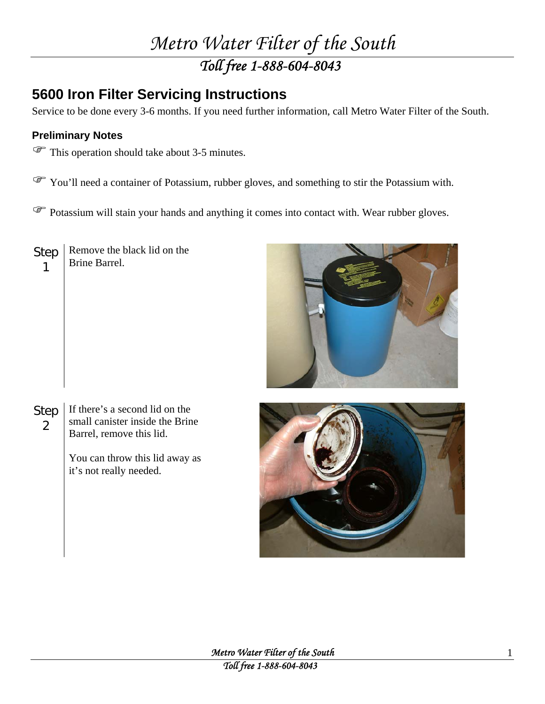## *Metro Water Filter of the South Toll free 1-888-604-8043*

## **5600 Iron Filter Servicing Instructions**

Service to be done every 3-6 months. If you need further information, call Metro Water Filter of the South.

## **Preliminary Notes**

 $\mathcal{F}$  This operation should take about 3-5 minutes.

) You'll need a container of Potassium, rubber gloves, and something to stir the Potassium with.

<sup> $\circled{F}$ </sup> Potassium will stain your hands and anything it comes into contact with. Wear rubber gloves.

Step 1 Remove the black lid on the Brine Barrel.



Step 2 If there's a second lid on the small canister inside the Brine Barrel, remove this lid.

> You can throw this lid away as it's not really needed.